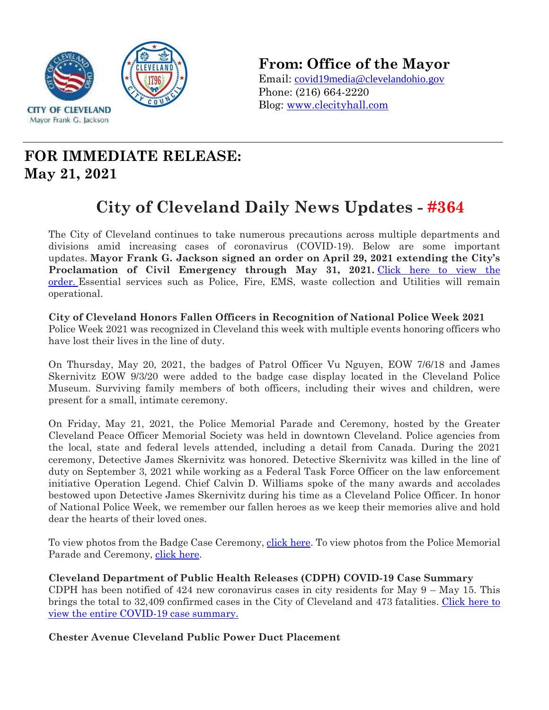

**From: Office of the Mayor**

Email: covid19media@clevelandohio.gov Phone: (216) 664-2220 Blog: www.clecityhall.com

## **FOR IMMEDIATE RELEASE: May 21, 2021**

# **City of Cleveland Daily News Updates - #364**

The City of Cleveland continues to take numerous precautions across multiple departments and divisions amid increasing cases of coronavirus (COVID-19). Below are some important updates. **Mayor Frank G. Jackson signed an order on April 29, 2021 extending the City's Proclamation of Civil Emergency through May 31, 2021.** [Click here to view the](https://clecityhall.files.wordpress.com/2021/04/mayor-jacksons-proclamation-of-civil-emergency-no.15_updated-on-4-29-2021.docx.pdf)  [order.](https://clecityhall.files.wordpress.com/2021/04/mayor-jacksons-proclamation-of-civil-emergency-no.15_updated-on-4-29-2021.docx.pdf) Essential services such as Police, Fire, EMS, waste collection and Utilities will remain operational.

**City of Cleveland Honors Fallen Officers in Recognition of National Police Week 2021** Police Week 2021 was recognized in Cleveland this week with multiple events honoring officers who have lost their lives in the line of duty.

On Thursday, May 20, 2021, the badges of Patrol Officer Vu Nguyen, EOW 7/6/18 and James Skernivitz EOW 9/3/20 were added to the badge case display located in the Cleveland Police Museum. Surviving family members of both officers, including their wives and children, were present for a small, intimate ceremony.

On Friday, May 21, 2021, the Police Memorial Parade and Ceremony, hosted by the Greater Cleveland Peace Officer Memorial Society was held in downtown Cleveland. Police agencies from the local, state and federal levels attended, including a detail from Canada. During the 2021 ceremony, Detective James Skernivitz was honored. Detective Skernivitz was killed in the line of duty on September 3, 2021 while working as a Federal Task Force Officer on the law enforcement initiative Operation Legend. Chief Calvin D. Williams spoke of the many awards and accolades bestowed upon Detective James Skernivitz during his time as a Cleveland Police Officer. In honor of National Police Week, we remember our fallen heroes as we keep their memories alive and hold dear the hearts of their loved ones.

To view photos from the Badge Case Ceremony, [click here.](https://www.dropbox.com/sh/5bayw7zjkgl8dmu/AACb-wG5cErhllHo3Yqdj_pIa?dl=0) To view photos from the Police Memorial Parade and Ceremony, [click here.](https://www.dropbox.com/sh/eusdaq9mbm5dmv6/AAChm89ztGsmzkfl02qZYTara?dl=0)

**Cleveland Department of Public Health Releases (CDPH) COVID-19 Case Summary** CDPH has been notified of 424 new coronavirus cases in city residents for May 9 – May 15. This brings the total to 32,409 confirmed cases in the City of Cleveland and 473 fatalities. [Click here to](https://clecityhall.files.wordpress.com/2021/05/cdph_public_report_2021-05-21.pdf)  view the entire [COVID-19 case summary.](https://clecityhall.files.wordpress.com/2021/05/cdph_public_report_2021-05-21.pdf)

**Chester Avenue Cleveland Public Power Duct Placement**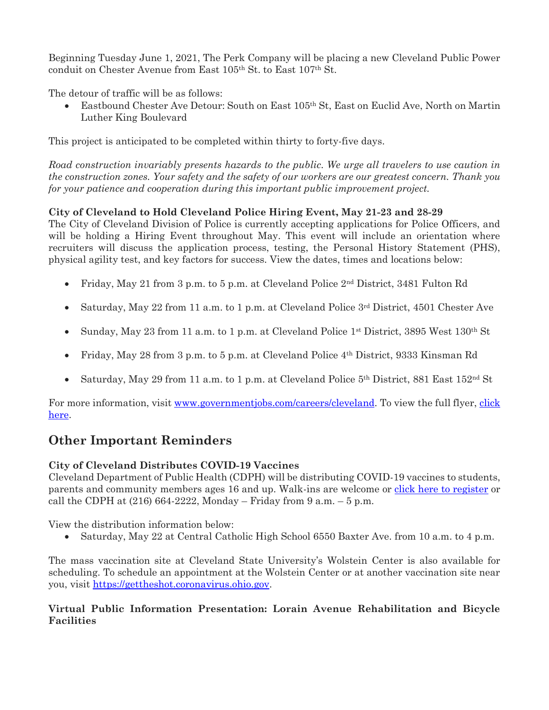Beginning Tuesday June 1, 2021, The Perk Company will be placing a new Cleveland Public Power conduit on Chester Avenue from East 105th St. to East 107th St.

The detour of traffic will be as follows:

 Eastbound Chester Ave Detour: South on East 105th St, East on Euclid Ave, North on Martin Luther King Boulevard

This project is anticipated to be completed within thirty to forty-five days.

*Road construction invariably presents hazards to the public. We urge all travelers to use caution in the construction zones. Your safety and the safety of our workers are our greatest concern. Thank you for your patience and cooperation during this important public improvement project.*

#### **City of Cleveland to Hold Cleveland Police Hiring Event, May 21-23 and 28-29**

The City of Cleveland Division of Police is currently accepting applications for Police Officers, and will be holding a Hiring Event throughout May. This event will include an orientation where recruiters will discuss the application process, testing, the Personal History Statement (PHS), physical agility test, and key factors for success. View the dates, times and locations below:

- Friday, May 21 from 3 p.m. to 5 p.m. at Cleveland Police  $2<sup>nd</sup>$  District, 3481 Fulton Rd
- Saturday, May 22 from 11 a.m. to 1 p.m. at Cleveland Police 3rd District, 4501 Chester Ave
- Sunday, May 23 from 11 a.m. to 1 p.m. at Cleveland Police 1<sup>st</sup> District, 3895 West 130<sup>th</sup> St
- Friday, May 28 from 3 p.m. to 5 p.m. at Cleveland Police 4th District, 9333 Kinsman Rd
- Saturday, May 29 from 11 a.m. to 1 p.m. at Cleveland Police 5<sup>th</sup> District, 881 East 152<sup>nd</sup> St

For more information, visit [www.governmentjobs.com/careers/cleveland.](http://www.governmentjobs.com/careers/cleveland) To view the full flyer, click [here.](https://clecityhall.files.wordpress.com/2021/05/may-2021-hiring-event-flyer_all-districts_-forms.pdf)

### **Other Important Reminders**

#### **City of Cleveland Distributes COVID-19 Vaccines**

Cleveland Department of Public Health (CDPH) will be distributing COVID-19 vaccines to students, parents and community members ages 16 and up. Walk-ins are welcome or [click here to register](https://clecovidvaccine.timetap.com/#/) or call the CDPH at  $(216)$  664-2222, Monday – Friday from 9 a.m. – 5 p.m.

View the distribution information below:

Saturday, May 22 at Central Catholic High School 6550 Baxter Ave. from 10 a.m. to 4 p.m.

The mass vaccination site at Cleveland State University's Wolstein Center is also available for scheduling. To schedule an appointment at the Wolstein Center or at another vaccination site near you, visit [https://gettheshot.coronavirus.ohio.gov.](https://gettheshot.coronavirus.ohio.gov/)

#### **Virtual Public Information Presentation: Lorain Avenue Rehabilitation and Bicycle Facilities**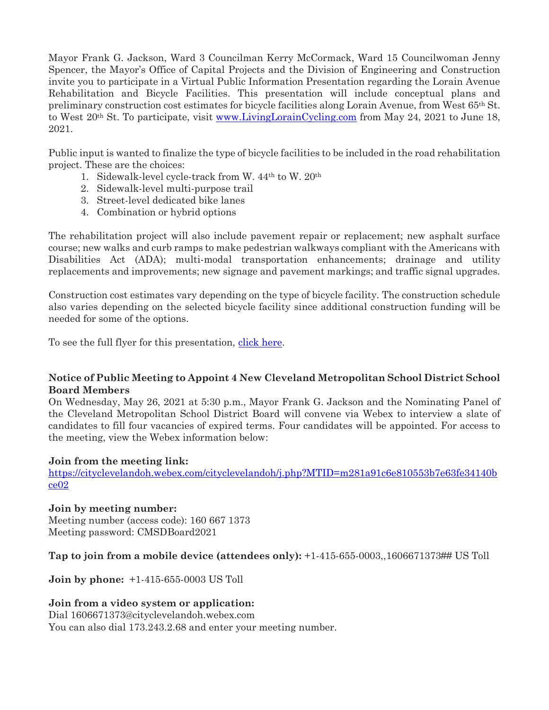Mayor Frank G. Jackson, Ward 3 Councilman Kerry McCormack, Ward 15 Councilwoman Jenny Spencer, the Mayor's Office of Capital Projects and the Division of Engineering and Construction invite you to participate in a Virtual Public Information Presentation regarding the Lorain Avenue Rehabilitation and Bicycle Facilities. This presentation will include conceptual plans and preliminary construction cost estimates for bicycle facilities along Lorain Avenue, from West 65th St. to West 20<sup>th</sup> St. To participate, visit [www.LivingLorainCycling.com](http://www.livingloraincycling.com/) from May 24, 2021 to June 18, 2021.

Public input is wanted to finalize the type of bicycle facilities to be included in the road rehabilitation project. These are the choices:

- 1. Sidewalk-level cycle-track from W. 44th to W. 20th
- 2. Sidewalk-level multi-purpose trail
- 3. Street-level dedicated bike lanes
- 4. Combination or hybrid options

The rehabilitation project will also include pavement repair or replacement; new asphalt surface course; new walks and curb ramps to make pedestrian walkways compliant with the Americans with Disabilities Act (ADA); multi-modal transportation enhancements; drainage and utility replacements and improvements; new signage and pavement markings; and traffic signal upgrades.

Construction cost estimates vary depending on the type of bicycle facility. The construction schedule also varies depending on the selected bicycle facility since additional construction funding will be needed for some of the options.

To see the full flyer for this presentation, [click here.](https://clecityhall.files.wordpress.com/2021/05/2021-04-19-public-mtg-flier_lorain-w65-to-w25.docx)

#### **Notice of Public Meeting to Appoint 4 New Cleveland Metropolitan School District School Board Members**

On Wednesday, May 26, 2021 at 5:30 p.m., Mayor Frank G. Jackson and the Nominating Panel of the Cleveland Metropolitan School District Board will convene via Webex to interview a slate of candidates to fill four vacancies of expired terms. Four candidates will be appointed. For access to the meeting, view the Webex information below:

#### **Join from the meeting link:**

[https://cityclevelandoh.webex.com/cityclevelandoh/j.php?MTID=m281a91c6e810553b7e63fe34140b](https://cityclevelandoh.webex.com/cityclevelandoh/j.php?MTID=m281a91c6e810553b7e63fe34140bce02) [ce02](https://cityclevelandoh.webex.com/cityclevelandoh/j.php?MTID=m281a91c6e810553b7e63fe34140bce02)

#### **Join by meeting number:**

Meeting number (access code): 160 667 1373 Meeting password: CMSDBoard2021

#### **Tap to join from a mobile device (attendees only):** +1-415-655-0003,,1606671373## US Toll

**Join by phone:** +1-415-655-0003 US Toll

#### **Join from a video system or application:**

Dial 1606671373@cityclevelandoh.webex.com You can also dial 173.243.2.68 and enter your meeting number.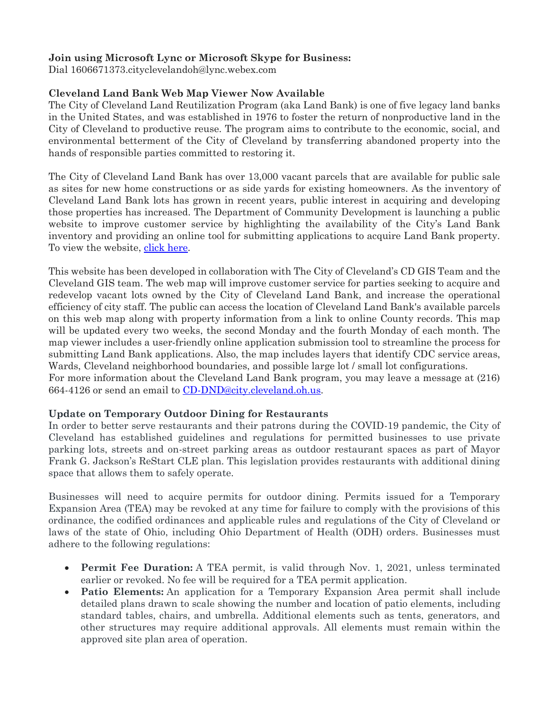#### **Join using Microsoft Lync or Microsoft Skype for Business:**

Dial 1606671373.cityclevelandoh@lync.webex.com

#### **Cleveland Land Bank Web Map Viewer Now Available**

The City of Cleveland Land Reutilization Program (aka Land Bank) is one of five legacy land banks in the United States, and was established in 1976 to foster the return of nonproductive land in the City of Cleveland to productive reuse. The program aims to contribute to the economic, social, and environmental betterment of the City of Cleveland by transferring abandoned property into the hands of responsible parties committed to restoring it.

The City of Cleveland Land Bank has over 13,000 vacant parcels that are available for public sale as sites for new home constructions or as side yards for existing homeowners. As the inventory of Cleveland Land Bank lots has grown in recent years, public interest in acquiring and developing those properties has increased. The Department of Community Development is launching a public website to improve customer service by highlighting the availability of the City's Land Bank inventory and providing an online tool for submitting applications to acquire Land Bank property. To view the website, [click here.](https://clevelandgis.maps.arcgis.com/apps/webappviewer/index.html?id=1c40c47ecdf34f42b9118cf7f83c28a4)

This website has been developed in collaboration with The City of Cleveland's CD GIS Team and the Cleveland GIS team. The web map will improve customer service for parties seeking to acquire and redevelop vacant lots owned by the City of Cleveland Land Bank, and increase the operational efficiency of city staff. The public can access the location of Cleveland Land Bank's available parcels on this web map along with property information from a link to online County records. This map will be updated every two weeks, the second Monday and the fourth Monday of each month. The map viewer includes a user-friendly online application submission tool to streamline the process for submitting Land Bank applications. Also, the map includes layers that identify CDC service areas, Wards, Cleveland neighborhood boundaries, and possible large lot / small lot configurations. For more information about the Cleveland Land Bank program, you may leave a message at (216) 664-4126 or send an email to [CD-DND@city.cleveland.oh.us.](mailto:CD-DND@city.cleveland.oh.us)

#### **Update on Temporary Outdoor Dining for Restaurants**

In order to better serve restaurants and their patrons during the COVID-19 pandemic, the City of Cleveland has established guidelines and regulations for permitted businesses to use private parking lots, streets and on-street parking areas as outdoor restaurant spaces as part of Mayor Frank G. Jackson's ReStart CLE plan. This legislation provides restaurants with additional dining space that allows them to safely operate.

Businesses will need to acquire permits for outdoor dining. Permits issued for a Temporary Expansion Area (TEA) may be revoked at any time for failure to comply with the provisions of this ordinance, the codified ordinances and applicable rules and regulations of the City of Cleveland or laws of the state of Ohio, including Ohio Department of Health (ODH) orders. Businesses must adhere to the following regulations:

- **Permit Fee Duration:** A TEA permit, is valid through Nov. 1, 2021, unless terminated earlier or revoked. No fee will be required for a TEA permit application.
- **Patio Elements:** An application for a Temporary Expansion Area permit shall include detailed plans drawn to scale showing the number and location of patio elements, including standard tables, chairs, and umbrella. Additional elements such as tents, generators, and other structures may require additional approvals. All elements must remain within the approved site plan area of operation.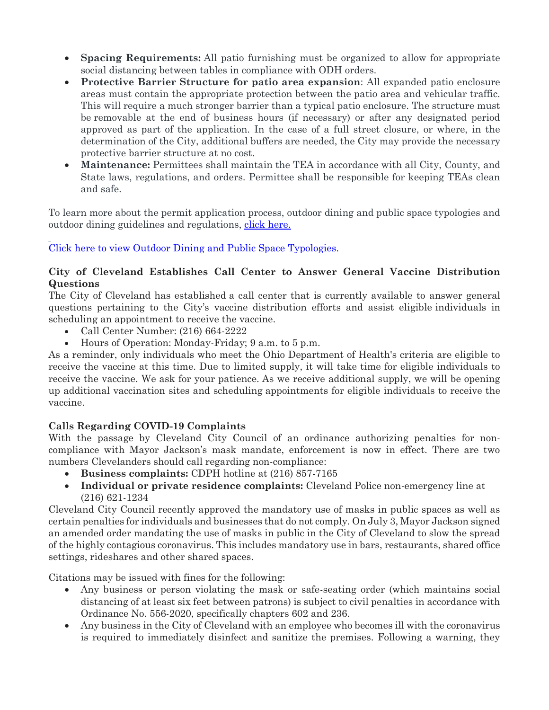- **Spacing Requirements:** All patio furnishing must be organized to allow for appropriate social distancing between tables in compliance with ODH orders.
- **Protective Barrier Structure for patio area expansion**: All expanded patio enclosure areas must contain the appropriate protection between the patio area and vehicular traffic. This will require a much stronger barrier than a typical patio enclosure. The structure must be removable at the end of business hours (if necessary) or after any designated period approved as part of the application. In the case of a full street closure, or where, in the determination of the City, additional buffers are needed, the City may provide the necessary protective barrier structure at no cost.
- **Maintenance:** Permittees shall maintain the TEA in accordance with all City, County, and State laws, regulations, and orders. Permittee shall be responsible for keeping TEAs clean and safe.

To learn more about the permit application process, outdoor dining and public space typologies and outdoor dining guidelines and regulations, [click here.](https://clecityhall.files.wordpress.com/2021/04/tea_springsummer2021_guidelinesandreg_mar1_explainersattached.pdf)

[Click here to view Outdoor Dining and Public Space Typologies.](https://clecityhall.files.wordpress.com/2021/04/typologyexplainers_3types.pdf)

#### **City of Cleveland Establishes Call Center to Answer General Vaccine Distribution Questions**

The City of Cleveland has established a call center that is currently available to answer general questions pertaining to the City's vaccine distribution efforts and assist eligible individuals in scheduling an appointment to receive the vaccine.

- Call Center Number: (216) 664-2222
- Hours of Operation: Monday-Friday; 9 a.m. to 5 p.m.

As a reminder, only individuals who meet the Ohio Department of Health's criteria are eligible to receive the vaccine at this time. Due to limited supply, it will take time for eligible individuals to receive the vaccine. We ask for your patience. As we receive additional supply, we will be opening up additional vaccination sites and scheduling appointments for eligible individuals to receive the vaccine.

#### **Calls Regarding COVID-19 Complaints**

With the passage by Cleveland City Council of an ordinance authorizing penalties for noncompliance with Mayor Jackson's mask mandate, enforcement is now in effect. There are two numbers Clevelanders should call regarding non-compliance:

- **Business complaints:** CDPH hotline at (216) 857-7165
- **Individual or private residence complaints:** Cleveland Police non-emergency line at (216) 621-1234

Cleveland City Council recently approved the mandatory use of masks in public spaces as well as certain penalties for individuals and businesses that do not comply. On July 3, Mayor Jackson signed an amended order mandating the use of masks in public in the City of Cleveland to slow the spread of the highly contagious coronavirus. This includes mandatory use in bars, restaurants, shared office settings, rideshares and other shared spaces.

Citations may be issued with fines for the following:

- Any business or person violating the mask or safe-seating order (which maintains social distancing of at least six feet between patrons) is subject to civil penalties in accordance with Ordinance No. 556-2020, specifically chapters 602 and 236.
- Any business in the City of Cleveland with an employee who becomes ill with the coronavirus is required to immediately disinfect and sanitize the premises. Following a warning, they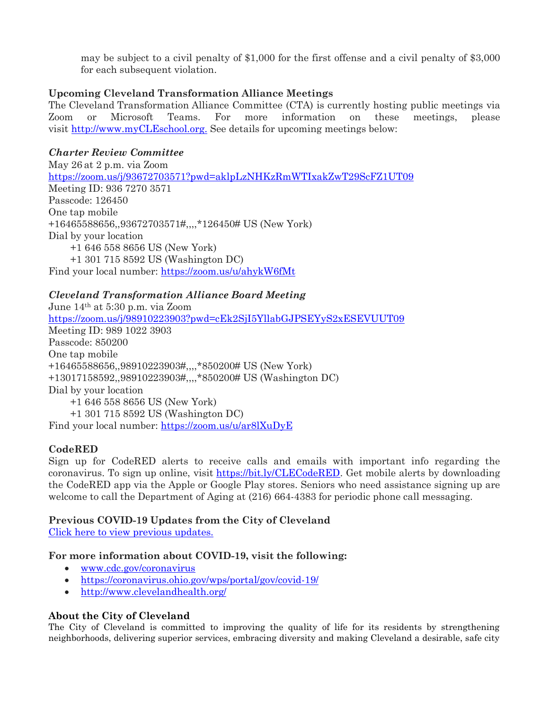may be subject to a civil penalty of \$1,000 for the first offense and a civil penalty of \$3,000 for each subsequent violation.

#### **Upcoming Cleveland Transformation Alliance Meetings**

The Cleveland Transformation Alliance Committee (CTA) is currently hosting public meetings via Zoom or Microsoft Teams. For more information on these meetings, please visit [http://www.myCLEschool.org.](http://www.mycleschool.org/) See details for upcoming meetings below:

#### *Charter Review Committee*

May 26 at 2 p.m. via Zoom <https://zoom.us/j/93672703571?pwd=aklpLzNHKzRmWTIxakZwT29ScFZ1UT09> Meeting ID: 936 7270 3571 Passcode: 126450 One tap mobile +16465588656,,93672703571#,,,,\*126450# US (New York) Dial by your location +1 646 558 8656 US (New York) +1 301 715 8592 US (Washington DC) Find your local number: <https://zoom.us/u/ahykW6fMt>

#### *Cleveland Transformation Alliance Board Meeting*

June 14th at 5:30 p.m. via Zoom <https://zoom.us/j/98910223903?pwd=cEk2SjI5YllabGJPSEYyS2xESEVUUT09> Meeting ID: 989 1022 3903 Passcode: 850200 One tap mobile +16465588656,,98910223903#,,,,\*850200# US (New York) +13017158592,,98910223903#,,,,\*850200# US (Washington DC) Dial by your location +1 646 558 8656 US (New York) +1 301 715 8592 US (Washington DC) Find your local number: <https://zoom.us/u/ar8lXuDyE>

#### **CodeRED**

Sign up for CodeRED alerts to receive calls and emails with important info regarding the coronavirus. To sign up online, visit [https://bit.ly/CLECodeRED.](https://bit.ly/CLECodeRED) Get mobile alerts by downloading the CodeRED app via the Apple or Google Play stores. Seniors who need assistance signing up are welcome to call the Department of Aging at  $(216)$  664-4383 for periodic phone call messaging.

## **Previous COVID-19 Updates from the City of Cleveland**

[Click here to view previous updates.](https://clecityhall.com/category/covid-19/)

#### **For more information about COVID-19, visit the following:**

- [www.cdc.gov/coronavirus](http://www.cdc.gov/coronavirus)
- <https://coronavirus.ohio.gov/wps/portal/gov/covid-19/>
- <http://www.clevelandhealth.org/>

#### **About the City of Cleveland**

The City of Cleveland is committed to improving the quality of life for its residents by strengthening neighborhoods, delivering superior services, embracing diversity and making Cleveland a desirable, safe city